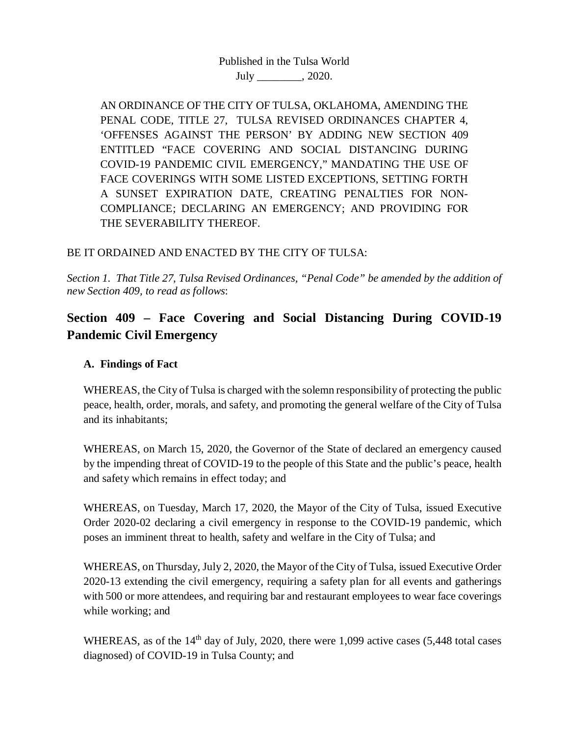Published in the Tulsa World July \_\_\_\_\_\_\_\_, 2020.

AN ORDINANCE OF THE CITY OF TULSA, OKLAHOMA, AMENDING THE PENAL CODE, TITLE 27, TULSA REVISED ORDINANCES CHAPTER 4, 'OFFENSES AGAINST THE PERSON' BY ADDING NEW SECTION 409 ENTITLED "FACE COVERING AND SOCIAL DISTANCING DURING COVID-19 PANDEMIC CIVIL EMERGENCY," MANDATING THE USE OF FACE COVERINGS WITH SOME LISTED EXCEPTIONS, SETTING FORTH A SUNSET EXPIRATION DATE, CREATING PENALTIES FOR NON-COMPLIANCE; DECLARING AN EMERGENCY; AND PROVIDING FOR THE SEVERABILITY THEREOF.

# BE IT ORDAINED AND ENACTED BY THE CITY OF TULSA:

*Section 1. That Title 27, Tulsa Revised Ordinances, "Penal Code" be amended by the addition of new Section 409, to read as follows*:

# **Section 409 – Face Covering and Social Distancing During COVID-19 Pandemic Civil Emergency**

## **A. Findings of Fact**

WHEREAS, the City of Tulsa is charged with the solemn responsibility of protecting the public peace, health, order, morals, and safety, and promoting the general welfare of the City of Tulsa and its inhabitants;

WHEREAS, on March 15, 2020, the Governor of the State of declared an emergency caused by the impending threat of COVID-19 to the people of this State and the public's peace, health and safety which remains in effect today; and

WHEREAS, on Tuesday, March 17, 2020, the Mayor of the City of Tulsa, issued Executive Order 2020-02 declaring a civil emergency in response to the COVID-19 pandemic, which poses an imminent threat to health, safety and welfare in the City of Tulsa; and

WHEREAS, on Thursday, July 2, 2020, the Mayor of the City of Tulsa, issued Executive Order 2020-13 extending the civil emergency, requiring a safety plan for all events and gatherings with 500 or more attendees, and requiring bar and restaurant employees to wear face coverings while working; and

WHEREAS, as of the  $14<sup>th</sup>$  day of July, 2020, there were 1,099 active cases (5,448 total cases diagnosed) of COVID-19 in Tulsa County; and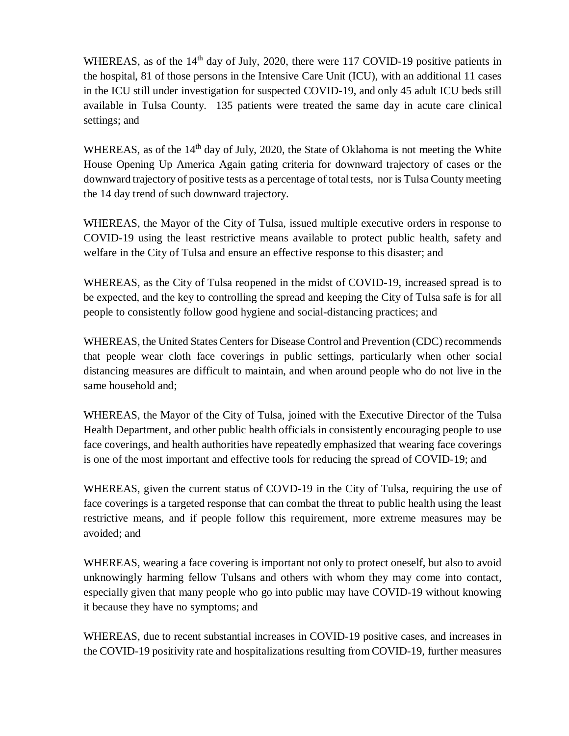WHEREAS, as of the  $14<sup>th</sup>$  day of July, 2020, there were 117 COVID-19 positive patients in the hospital, 81 of those persons in the Intensive Care Unit (ICU), with an additional 11 cases in the ICU still under investigation for suspected COVID-19, and only 45 adult ICU beds still available in Tulsa County. 135 patients were treated the same day in acute care clinical settings; and

WHEREAS, as of the  $14<sup>th</sup>$  day of July, 2020, the State of Oklahoma is not meeting the White House Opening Up America Again gating criteria for downward trajectory of cases or the downward trajectory of positive tests as a percentage of total tests, nor is Tulsa County meeting the 14 day trend of such downward trajectory.

WHEREAS, the Mayor of the City of Tulsa, issued multiple executive orders in response to COVID-19 using the least restrictive means available to protect public health, safety and welfare in the City of Tulsa and ensure an effective response to this disaster; and

WHEREAS, as the City of Tulsa reopened in the midst of COVID-19, increased spread is to be expected, and the key to controlling the spread and keeping the City of Tulsa safe is for all people to consistently follow good hygiene and social-distancing practices; and

WHEREAS, the United States Centers for Disease Control and Prevention (CDC) recommends that people wear cloth face coverings in public settings, particularly when other social distancing measures are difficult to maintain, and when around people who do not live in the same household and;

WHEREAS, the Mayor of the City of Tulsa, joined with the Executive Director of the Tulsa Health Department, and other public health officials in consistently encouraging people to use face coverings, and health authorities have repeatedly emphasized that wearing face coverings is one of the most important and effective tools for reducing the spread of COVID-19; and

WHEREAS, given the current status of COVD-19 in the City of Tulsa, requiring the use of face coverings is a targeted response that can combat the threat to public health using the least restrictive means, and if people follow this requirement, more extreme measures may be avoided; and

WHEREAS, wearing a face covering is important not only to protect oneself, but also to avoid unknowingly harming fellow Tulsans and others with whom they may come into contact, especially given that many people who go into public may have COVID-19 without knowing it because they have no symptoms; and

WHEREAS, due to recent substantial increases in COVID-19 positive cases, and increases in the COVID-19 positivity rate and hospitalizations resulting from COVID-19, further measures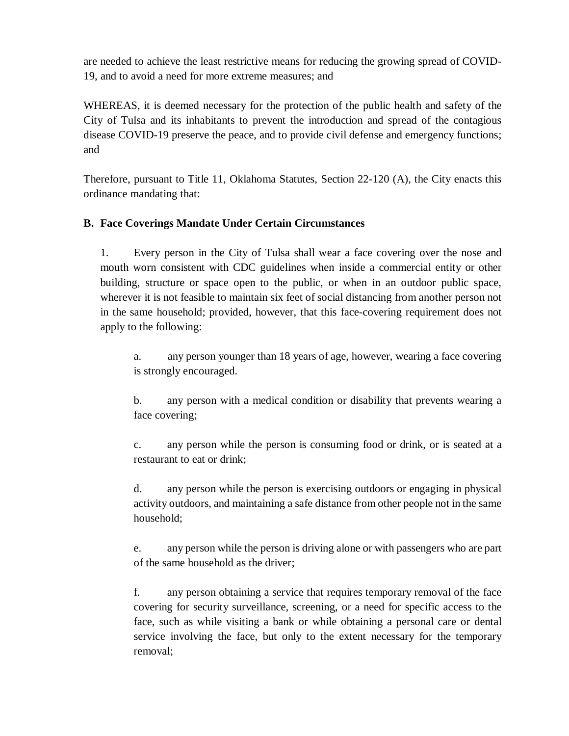are needed to achieve the least restrictive means for reducing the growing spread of COVID-19, and to avoid a need for more extreme measures; and

WHEREAS, it is deemed necessary for the protection of the public health and safety of the City of Tulsa and its inhabitants to prevent the introduction and spread of the contagious disease COVID-19 preserve the peace, and to provide civil defense and emergency functions; and

Therefore, pursuant to Title 11, Oklahoma Statutes, Section 22-120 (A), the City enacts this ordinance mandating that:

# **B. Face Coverings Mandate Under Certain Circumstances**

1. Every person in the City of Tulsa shall wear a face covering over the nose and mouth worn consistent with CDC guidelines when inside a commercial entity or other building, structure or space open to the public, or when in an outdoor public space, wherever it is not feasible to maintain six feet of social distancing from another person not in the same household; provided, however, that this face-covering requirement does not apply to the following:

a. any person younger than 18 years of age, however, wearing a face covering is strongly encouraged.

b. any person with a medical condition or disability that prevents wearing a face covering;

c. any person while the person is consuming food or drink, or is seated at a restaurant to eat or drink;

d. any person while the person is exercising outdoors or engaging in physical activity outdoors, and maintaining a safe distance from other people not in the same household;

e. any person while the person is driving alone or with passengers who are part of the same household as the driver;

f. any person obtaining a service that requires temporary removal of the face covering for security surveillance, screening, or a need for specific access to the face, such as while visiting a bank or while obtaining a personal care or dental service involving the face, but only to the extent necessary for the temporary removal;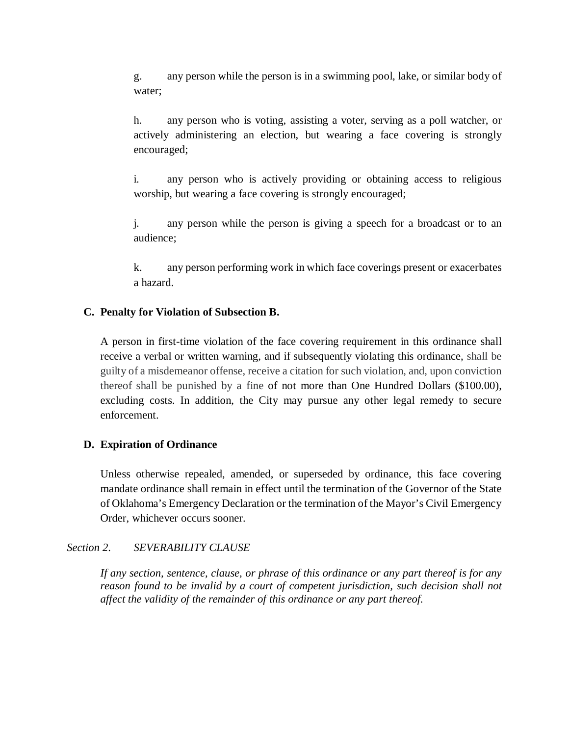g. any person while the person is in a swimming pool, lake, or similar body of water;

h. any person who is voting, assisting a voter, serving as a poll watcher, or actively administering an election, but wearing a face covering is strongly encouraged;

i. any person who is actively providing or obtaining access to religious worship, but wearing a face covering is strongly encouraged;

j. any person while the person is giving a speech for a broadcast or to an audience;

k. any person performing work in which face coverings present or exacerbates a hazard.

### **C. Penalty for Violation of Subsection B.**

A person in first-time violation of the face covering requirement in this ordinance shall receive a verbal or written warning, and if subsequently violating this ordinance, shall be guilty of a misdemeanor offense, receive a citation for such violation, and, upon conviction thereof shall be punished by a fine of not more than One Hundred Dollars (\$100.00), excluding costs. In addition, the City may pursue any other legal remedy to secure enforcement.

#### **D. Expiration of Ordinance**

Unless otherwise repealed, amended, or superseded by ordinance, this face covering mandate ordinance shall remain in effect until the termination of the Governor of the State of Oklahoma's Emergency Declaration or the termination of the Mayor's Civil Emergency Order, whichever occurs sooner.

#### *Section 2*. *SEVERABILITY CLAUSE*

*If any section, sentence, clause, or phrase of this ordinance or any part thereof is for any*  reason found to be invalid by a court of competent jurisdiction, such decision shall not *affect the validity of the remainder of this ordinance or any part thereof.*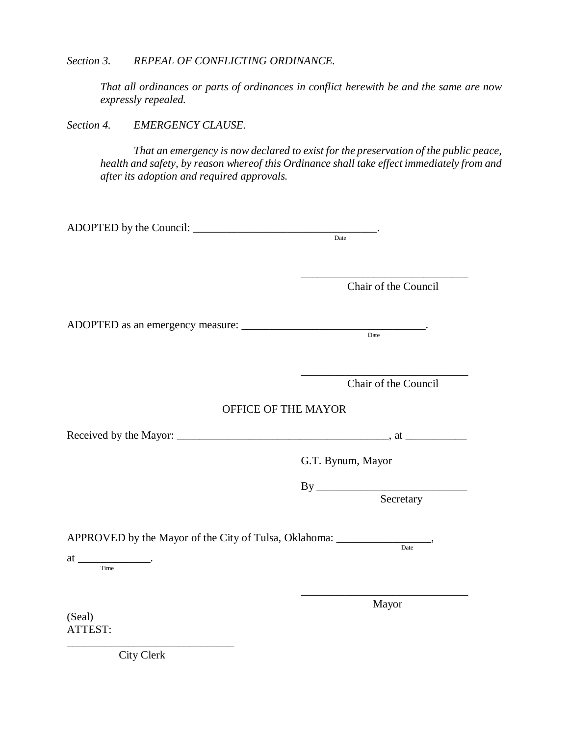*Section 3. REPEAL OF CONFLICTING ORDINANCE.*

*That all ordinances or parts of ordinances in conflict herewith be and the same are now expressly repealed.*

*Section 4. EMERGENCY CLAUSE.* 

*That an emergency is now declared to exist for the preservation of the public peace, health and safety, by reason whereof this Ordinance shall take effect immediately from and after its adoption and required approvals.*

|                                                                                   | Date                 |
|-----------------------------------------------------------------------------------|----------------------|
|                                                                                   |                      |
|                                                                                   |                      |
|                                                                                   | Chair of the Council |
|                                                                                   |                      |
|                                                                                   |                      |
|                                                                                   |                      |
|                                                                                   |                      |
|                                                                                   |                      |
|                                                                                   | Chair of the Council |
|                                                                                   |                      |
| OFFICE OF THE MAYOR                                                               |                      |
|                                                                                   |                      |
|                                                                                   | G.T. Bynum, Mayor    |
|                                                                                   |                      |
|                                                                                   | Secretary            |
|                                                                                   |                      |
| APPROVED by the Mayor of the City of Tulsa, Oklahoma: ___________________________ | Date                 |
| $at \underline{\hspace{2cm}}$                                                     |                      |
|                                                                                   |                      |
|                                                                                   |                      |
|                                                                                   | Mayor                |
| (Seal)                                                                            |                      |
| ATTEST:                                                                           |                      |

\_\_\_\_\_\_\_\_\_\_\_\_\_\_\_\_\_\_\_\_\_\_\_\_\_\_\_\_\_\_ City Clerk